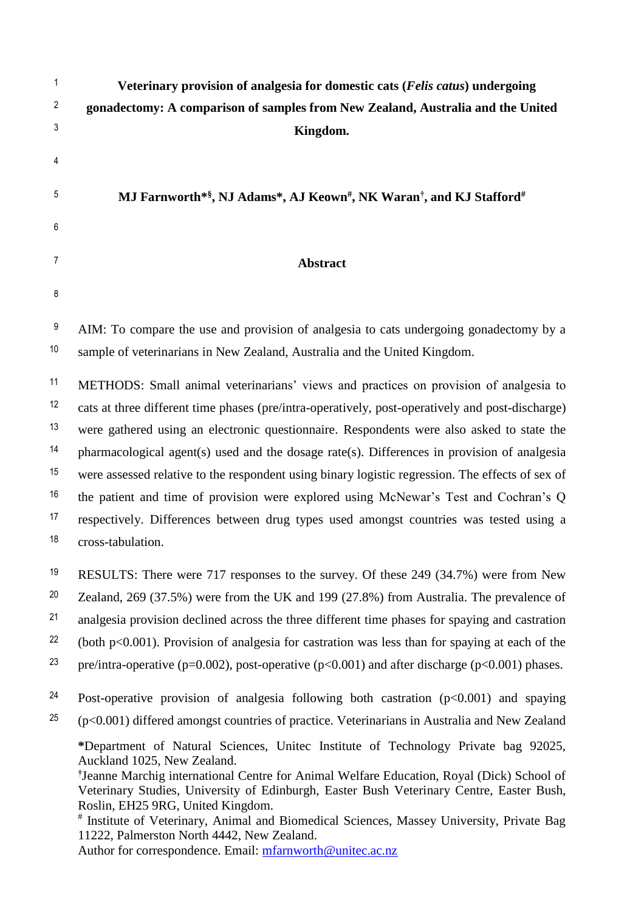| 1              | Veterinary provision of analgesia for domestic cats (Felis catus) undergoing                                                                                                                                                                                                                                                                                                                                                                                                                           |
|----------------|--------------------------------------------------------------------------------------------------------------------------------------------------------------------------------------------------------------------------------------------------------------------------------------------------------------------------------------------------------------------------------------------------------------------------------------------------------------------------------------------------------|
| $\overline{c}$ | gonadectomy: A comparison of samples from New Zealand, Australia and the United                                                                                                                                                                                                                                                                                                                                                                                                                        |
| 3              | Kingdom.                                                                                                                                                                                                                                                                                                                                                                                                                                                                                               |
| 4              |                                                                                                                                                                                                                                                                                                                                                                                                                                                                                                        |
| 5              |                                                                                                                                                                                                                                                                                                                                                                                                                                                                                                        |
|                | MJ Farnworth*\$, NJ Adams*, AJ Keown#, NK Waran <sup>†</sup> , and KJ Stafford#                                                                                                                                                                                                                                                                                                                                                                                                                        |
| 6              |                                                                                                                                                                                                                                                                                                                                                                                                                                                                                                        |
| 7              | Abstract                                                                                                                                                                                                                                                                                                                                                                                                                                                                                               |
| 8              |                                                                                                                                                                                                                                                                                                                                                                                                                                                                                                        |
| 9              | AIM: To compare the use and provision of analgesia to cats undergoing gonadectomy by a                                                                                                                                                                                                                                                                                                                                                                                                                 |
| 10             | sample of veterinarians in New Zealand, Australia and the United Kingdom.                                                                                                                                                                                                                                                                                                                                                                                                                              |
| 11             | METHODS: Small animal veterinarians' views and practices on provision of analgesia to                                                                                                                                                                                                                                                                                                                                                                                                                  |
| 12             | cats at three different time phases (pre/intra-operatively, post-operatively and post-discharge)                                                                                                                                                                                                                                                                                                                                                                                                       |
| 13             | were gathered using an electronic questionnaire. Respondents were also asked to state the                                                                                                                                                                                                                                                                                                                                                                                                              |
| 14             | pharmacological agent(s) used and the dosage rate(s). Differences in provision of analgesia                                                                                                                                                                                                                                                                                                                                                                                                            |
| 15             | were assessed relative to the respondent using binary logistic regression. The effects of sex of                                                                                                                                                                                                                                                                                                                                                                                                       |
| 16             | the patient and time of provision were explored using McNewar's Test and Cochran's Q                                                                                                                                                                                                                                                                                                                                                                                                                   |
| 17             | respectively. Differences between drug types used amongst countries was tested using a                                                                                                                                                                                                                                                                                                                                                                                                                 |
| 18             | cross-tabulation.                                                                                                                                                                                                                                                                                                                                                                                                                                                                                      |
| 19             | RESULTS: There were 717 responses to the survey. Of these 249 (34.7%) were from New                                                                                                                                                                                                                                                                                                                                                                                                                    |
| 20             | Zealand, 269 (37.5%) were from the UK and 199 (27.8%) from Australia. The prevalence of                                                                                                                                                                                                                                                                                                                                                                                                                |
| 21             | analgesia provision declined across the three different time phases for spaying and castration                                                                                                                                                                                                                                                                                                                                                                                                         |
| 22             | (both $p<0.001$ ). Provision of analgesia for castration was less than for spaying at each of the                                                                                                                                                                                                                                                                                                                                                                                                      |
| 23             | pre/intra-operative (p=0.002), post-operative (p<0.001) and after discharge (p<0.001) phases.                                                                                                                                                                                                                                                                                                                                                                                                          |
| 24             | Post-operative provision of analgesia following both castration $(p<0.001)$ and spaying                                                                                                                                                                                                                                                                                                                                                                                                                |
| 25             | $(p<0.001)$ differed amongst countries of practice. Veterinarians in Australia and New Zealand                                                                                                                                                                                                                                                                                                                                                                                                         |
|                | *Department of Natural Sciences, Unitec Institute of Technology Private bag 92025,<br>Auckland 1025, New Zealand.<br><sup>†</sup> Jeanne Marchig international Centre for Animal Welfare Education, Royal (Dick) School of<br>Veterinary Studies, University of Edinburgh, Easter Bush Veterinary Centre, Easter Bush,<br>Roslin, EH25 9RG, United Kingdom.<br># Institute of Veterinary, Animal and Biomedical Sciences, Massey University, Private Bag<br>11222, Palmerston North 4442, New Zealand. |

Author for correspondence. Email: [mfarnworth@unitec.ac.nz](mailto:mfarnworth@unitec.ac.nz)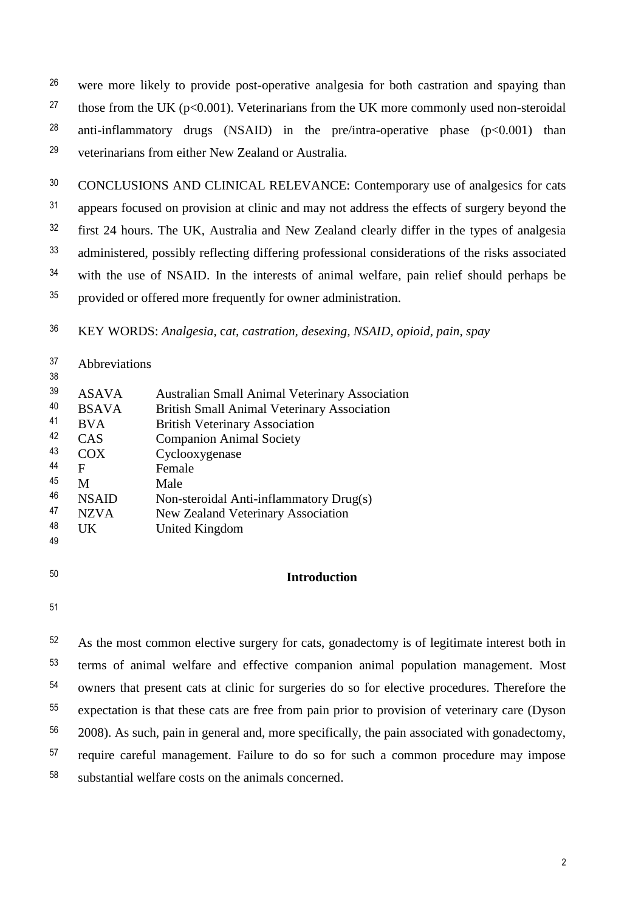<sup>26</sup> were more likely to provide post-operative analgesia for both castration and spaying than <sup>27</sup> those from the UK ( $p<0.001$ ). Veterinarians from the UK more commonly used non-steroidal <sup>28</sup> anti-inflammatory drugs (NSAID) in the pre/intra-operative phase ( $p < 0.001$ ) than veterinarians from either New Zealand or Australia. <sup>29</sup>

<sup>30</sup> CONCLUSIONS AND CLINICAL RELEVANCE: Contemporary use of analgesics for cats <sup>31</sup> appears focused on provision at clinic and may not address the effects of surgery beyond the <sup>32</sup> first 24 hours. The UK, Australia and New Zealand clearly differ in the types of analgesia 33 administered, possibly reflecting differing professional considerations of the risks associated <sup>34</sup> with the use of NSAID. In the interests of animal welfare, pain relief should perhaps be <sup>35</sup> provided or offered more frequently for owner administration.

KEY WORDS: *Analgesia*, c*at, castration, desexing, NSAID, opioid, pain, spay* <sup>36</sup>

| 37 | Abbreviations |                                                       |
|----|---------------|-------------------------------------------------------|
| 38 |               |                                                       |
| 39 | <b>ASAVA</b>  | <b>Australian Small Animal Veterinary Association</b> |
| 40 | <b>BSAVA</b>  | <b>British Small Animal Veterinary Association</b>    |
| 41 | <b>BVA</b>    | <b>British Veterinary Association</b>                 |
| 42 | <b>CAS</b>    | <b>Companion Animal Society</b>                       |
| 43 | COX           | Cyclooxygenase                                        |
| 44 | F             | Female                                                |
| 45 | M             | Male                                                  |
| 46 | <b>NSAID</b>  | Non-steroidal Anti-inflammatory Drug(s)               |
| 47 | <b>NZVA</b>   | New Zealand Veterinary Association                    |
| 48 | UK            | United Kingdom                                        |
| 49 |               |                                                       |

- 
- 

# **Introduction** <sup>50</sup>

51

 $52$  As the most common elective surgery for cats, gonadectomy is of legitimate interest both in <sup>53</sup> terms of animal welfare and effective companion animal population management. Most <sup>54</sup> owners that present cats at clinic for surgeries do so for elective procedures. Therefore the <sup>55</sup> expectation is that these cats are free from pain prior to provision of veterinary care (Dyson  $2008$ ). As such, pain in general and, more specifically, the pain associated with gonadectomy, <sup>57</sup> require careful management. Failure to do so for such a common procedure may impose  $58$  substantial welfare costs on the animals concerned.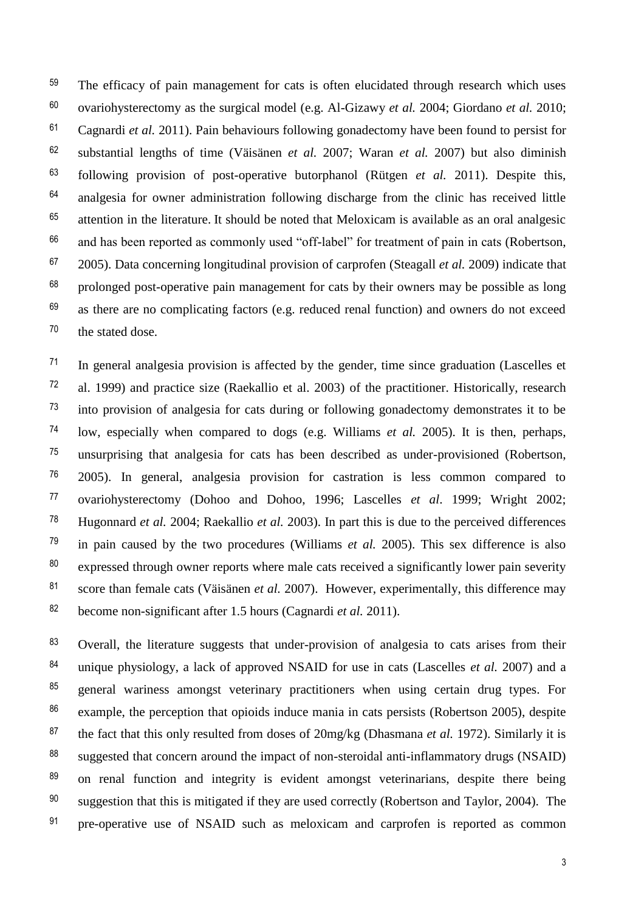<sup>59</sup> The efficacy of pain management for cats is often elucidated through research which uses ovariohysterectomy as the surgical model (e.g. Al-Gizawy *et al.* 2004; Giordano *et al.* 2010; <sup>60</sup>  $61$  Cagnardi *et al.* 2011). Pain behaviours following gonadectomy have been found to persist for substantial lengths of time (Väisänen *et al.* 2007; Waran *et al.* 2007) but also diminish <sup>62</sup> following provision of post-operative butorphanol (Rütgen *et al.* 2011). Despite this, <sup>63</sup>  $64$  analgesia for owner administration following discharge from the clinic has received little  $65$  attention in the literature. It should be noted that Meloxicam is available as an oral analgesic  $66$  and has been reported as commonly used "off-label" for treatment of pain in cats (Robertson, <sup>67</sup> 2005). Data concerning longitudinal provision of carprofen (Steagall *et al.* 2009) indicate that  $68$  prolonged post-operative pain management for cats by their owners may be possible as long  $69$  as there are no complicating factors (e.g. reduced renal function) and owners do not exceed the stated dose. 70

 $11$  In general analgesia provision is affected by the gender, time since graduation (Lascelles et <sup>72</sup> al. 1999) and practice size (Raekallio et al. 2003) of the practitioner. Historically, research  $\frac{73}{10}$  into provision of analgesia for cats during or following gonadectomy demonstrates it to be low, especially when compared to dogs (e.g. Williams *et al.* 2005). It is then, perhaps, <sup>74</sup> <sup>75</sup> unsurprising that analgesia for cats has been described as under-provisioned (Robertson,  $^{76}$  2005). In general, analgesia provision for castration is less common compared to ovariohysterectomy (Dohoo and Dohoo, 1996; Lascelles *et al*. 1999; Wright 2002; <sup>77</sup> Hugonnard *et al.* 2004; Raekallio *et al.* 2003). In part this is due to the perceived differences <sup>78</sup> <sup>79</sup> in pain caused by the two procedures (Williams *et al.* 2005). This sex difference is also  $80$  expressed through owner reports where male cats received a significantly lower pain severity score than female cats (Väisänen *et al.* 2007). However, experimentally, this difference may <sup>81</sup> become non-significant after 1.5 hours (Cagnardi *et al.* 2011). <sup>82</sup>

<sup>83</sup> Overall, the literature suggests that under-provision of analgesia to cats arises from their <sup>84</sup> unique physiology, a lack of approved NSAID for use in cats (Lascelles *et al.* 2007) and a  $85$  general wariness amongst veterinary practitioners when using certain drug types. For  $86$  example, the perception that opioids induce mania in cats persists (Robertson 2005), despite <sup>87</sup> the fact that this only resulted from doses of 20mg/kg (Dhasmana *et al.* 1972). Similarly it is 88 suggested that concern around the impact of non-steroidal anti-inflammatory drugs (NSAID) <sup>89</sup> on renal function and integrity is evident amongst veterinarians, despite there being  $90$  suggestion that this is mitigated if they are used correctly (Robertson and Taylor, 2004). The <sup>91</sup> pre-operative use of NSAID such as meloxicam and carprofen is reported as common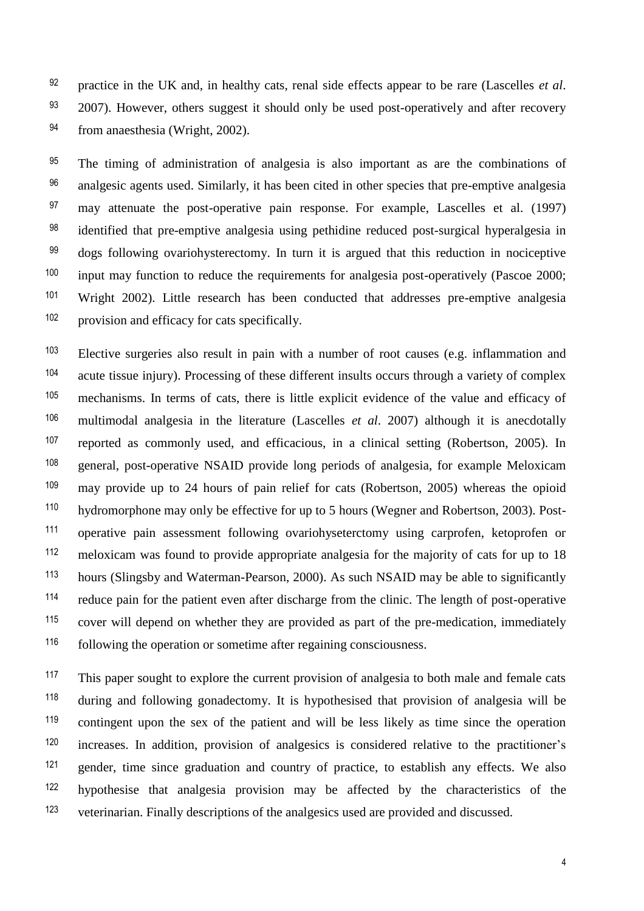practice in the UK and, in healthy cats, renal side effects appear to be rare (Lascelles *et al*. 92  $2007$ ). However, others suggest it should only be used post-operatively and after recovery 94 from anaesthesia (Wright, 2002).

 $95$  The timing of administration of analgesia is also important as are the combinations of <sup>96</sup> analgesic agents used. Similarly, it has been cited in other species that pre-emptive analgesia  $<sup>97</sup>$  may attenuate the post-operative pain response. For example, Lascelles et al. (1997)</sup>  $^{98}$  identified that pre-emptive analgesia using pethidine reduced post-surgical hyperalgesia in  $99$  dogs following ovariohysterectomy. In turn it is argued that this reduction in nociceptive  $100$  input may function to reduce the requirements for analgesia post-operatively (Pascoe 2000; <sup>101</sup> Wright 2002). Little research has been conducted that addresses pre-emptive analgesia provision and efficacy for cats specifically. <sup>102</sup>

<sup>103</sup> Elective surgeries also result in pain with a number of root causes (e.g. inflammation and <sup>104</sup> acute tissue injury). Processing of these different insults occurs through a variety of complex 105 mechanisms. In terms of cats, there is little explicit evidence of the value and efficacy of multimodal analgesia in the literature (Lascelles *et al*. 2007) although it is anecdotally <sup>106</sup> reported as commonly used, and efficacious, in a clinical setting (Robertson, 2005). In <sup>107</sup> <sup>108</sup> general, post-operative NSAID provide long periods of analgesia, for example Meloxicam  $109$  may provide up to 24 hours of pain relief for cats (Robertson, 2005) whereas the opioid hydromorphone may only be effective for up to 5 hours (Wegner and Robertson, 2003). Post-110 <sup>111</sup> operative pain assessment following ovariohyseterctomy using carprofen, ketoprofen or  $112$  meloxicam was found to provide appropriate analgesia for the majority of cats for up to 18 hours (Slingsby and Waterman-Pearson, 2000). As such NSAID may be able to significantly <sup>113</sup> <sup>114</sup> reduce pain for the patient even after discharge from the clinic. The length of post-operative  $115$  cover will depend on whether they are provided as part of the pre-medication, immediately following the operation or sometime after regaining consciousness. <sup>116</sup>

This paper sought to explore the current provision of analgesia to both male and female cats  $118$  during and following gonadectomy. It is hypothesised that provision of analgesia will be <sup>119</sup> contingent upon the sex of the patient and will be less likely as time since the operation increases. In addition, provision of analgesics is considered relative to the practitioner's <sup>120</sup>  $121$  gender, time since graduation and country of practice, to establish any effects. We also hypothesise that analgesia provision may be affected by the characteristics of the <sup>122</sup> veterinarian. Finally descriptions of the analgesics used are provided and discussed. 123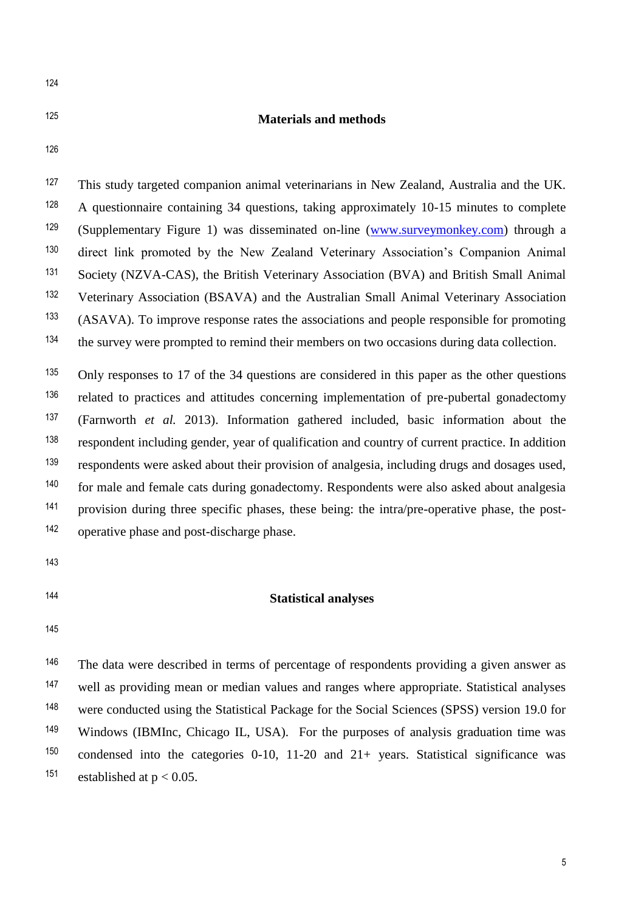124

## **Materials and methods** <sup>125</sup>

126

<sup>127</sup> This study targeted companion animal veterinarians in New Zealand, Australia and the UK. <sup>128</sup> A questionnaire containing 34 questions, taking approximately 10-15 minutes to complete (Supplementary Figure 1) was disseminated on-line [\(www.surveymonkey.com\)](http://www.surveymonkey.com/) through a <sup>129</sup> 130 direct link promoted by the New Zealand Veterinary Association's Companion Animal <sup>131</sup> Society (NZVA-CAS), the British Veterinary Association (BVA) and British Small Animal <sup>132</sup> Veterinary Association (BSAVA) and the Australian Small Animal Veterinary Association (ASAVA). To improve response rates the associations and people responsible for promoting <sup>133</sup> <sup>134</sup> the survey were prompted to remind their members on two occasions during data collection.

<sup>135</sup> Only responses to 17 of the 34 questions are considered in this paper as the other questions related to practices and attitudes concerning implementation of pre-pubertal gonadectomy <sup>136</sup> (Farnworth *et al.* 2013). Information gathered included, basic information about the <sup>137</sup> respondent including gender, year of qualification and country of current practice. In addition <sup>138</sup> respondents were asked about their provision of analgesia, including drugs and dosages used, <sup>139</sup> for male and female cats during gonadectomy. Respondents were also asked about analgesia provision during three specific phases, these being: the intra/pre-operative phase, the post-141 operative phase and post-discharge phase. <sup>142</sup>

- 143
- 

#### **Statistical analyses** <sup>144</sup>

145

 $146$  The data were described in terms of percentage of respondents providing a given answer as well as providing mean or median values and ranges where appropriate. Statistical analyses <sup>148</sup> were conducted using the Statistical Package for the Social Sciences (SPSS) version 19.0 for <sup>149</sup> Windows (IBMInc, Chicago IL, USA). For the purposes of analysis graduation time was <sup>150</sup> condensed into the categories 0-10, 11-20 and  $21+$  years. Statistical significance was <sup>151</sup> established at  $p < 0.05$ .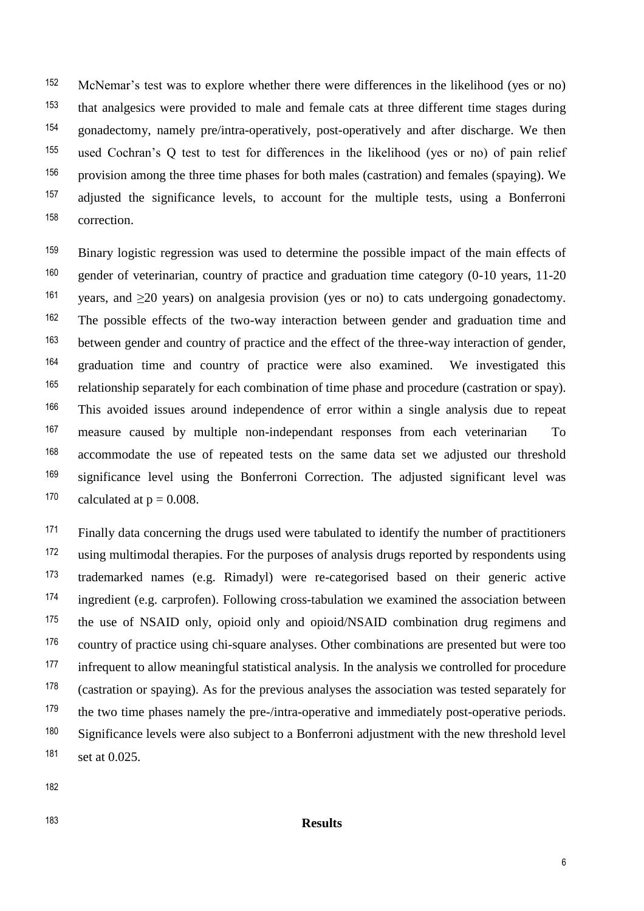152 McNemar's test was to explore whether there were differences in the likelihood (yes or no) that analgesics were provided to male and female cats at three different time stages during <sup>153</sup> <sup>154</sup> gonadectomy, namely pre/intra-operatively, post-operatively and after discharge. We then <sup>155</sup> used Cochran's Q test to test for differences in the likelihood (yes or no) of pain relief  $156$  provision among the three time phases for both males (castration) and females (spaying). We <sup>157</sup> adjusted the significance levels, to account for the multiple tests, using a Bonferroni correction. <sup>158</sup>

<sup>159</sup> Binary logistic regression was used to determine the possible impact of the main effects of  $160$  gender of veterinarian, country of practice and graduation time category (0-10 years, 11-20 <sup>161</sup> years, and  $\geq$ 20 years) on analgesia provision (yes or no) to cats undergoing gonadectomy. <sup>162</sup> The possible effects of the two-way interaction between gender and graduation time and between gender and country of practice and the effect of the three-way interaction of gender, 163 <sup>164</sup> graduation time and country of practice were also examined. We investigated this relationship separately for each combination of time phase and procedure (castration or spay). <sup>165</sup> This avoided issues around independence of error within a single analysis due to repeat <sup>166</sup> <sup>167</sup> measure caused by multiple non-independant responses from each veterinarian To <sup>168</sup> accommodate the use of repeated tests on the same data set we adjusted our threshold <sup>169</sup> significance level using the Bonferroni Correction. The adjusted significant level was <sup>170</sup> calculated at  $p = 0.008$ .

<sup>171</sup> Finally data concerning the drugs used were tabulated to identify the number of practitioners <sup>172</sup> using multimodal therapies. For the purposes of analysis drugs reported by respondents using trademarked names (e.g. Rimadyl) were re-categorised based on their generic active <sup>173</sup> <sup>174</sup> ingredient (e.g. carprofen). Following cross-tabulation we examined the association between <sup>175</sup> the use of NSAID only, opioid only and opioid/NSAID combination drug regimens and <sup>176</sup> country of practice using chi-square analyses. Other combinations are presented but were too <sup>177</sup> infrequent to allow meaningful statistical analysis. In the analysis we controlled for procedure  $178$  (castration or spaying). As for the previous analyses the association was tested separately for  $179$  the two time phases namely the pre-/intra-operative and immediately post-operative periods. <sup>180</sup> Significance levels were also subject to a Bonferroni adjustment with the new threshold level 181 set at 0.025.

182

#### **Results** <sup>183</sup>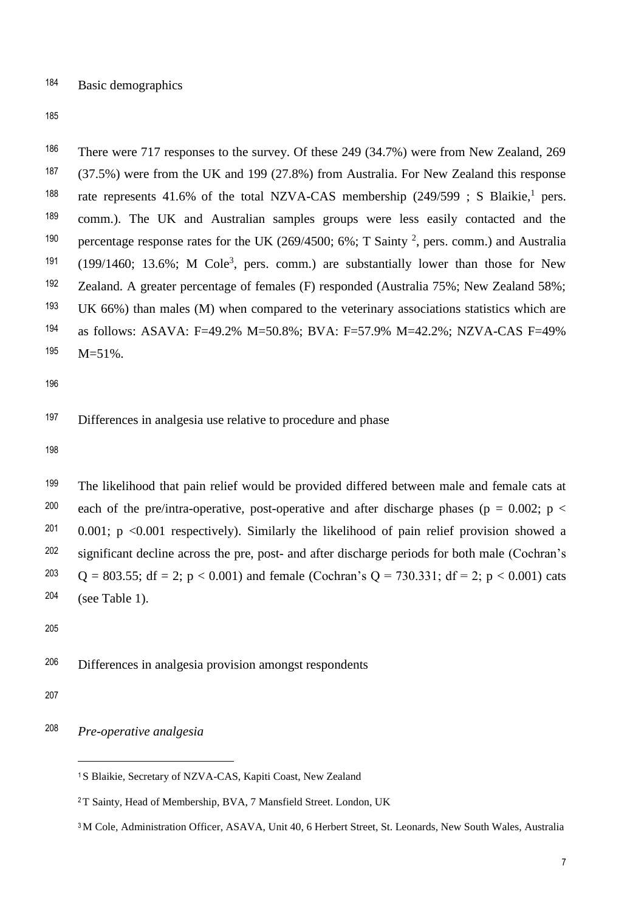184 Basic demographics

185

<sup>186</sup> There were 717 responses to the survey. Of these 249 (34.7%) were from New Zealand, 269 (37.5%) were from the UK and 199 (27.8%) from Australia. For New Zealand this response <sup>187</sup> <sup>188</sup> rate represents 41.6% of the total NZVA-CAS membership  $(249/599; S Blaikie, <sup>1</sup> pers.$ <sup>189</sup> comm.). The UK and Australian samples groups were less easily contacted and the <sup>190</sup> percentage response rates for the UK (269/4500; 6%; T Sainty <sup>2</sup>, pers. comm.) and Australia  $(199/1460; 13.6\%; M Cole<sup>3</sup>, pers. comm.)$  are substantially lower than those for New <sup>192</sup> Zealand. A greater percentage of females (F) responded (Australia 75%; New Zealand 58%; <sup>193</sup> UK 66%) than males (M) when compared to the veterinary associations statistics which are <sup>194</sup> as follows: ASAVA: F=49.2% M=50.8%; BVA: F=57.9% M=42.2%; NZVA-CAS F=49% 195 M=51%.

196

<sup>197</sup> Differences in analgesia use relative to procedure and phase

198

 $199$  The likelihood that pain relief would be provided differed between male and female cats at <sup>200</sup> each of the pre/intra-operative, post-operative and after discharge phases (p = 0.002; p <  $201$  0.001; p <0.001 respectively). Similarly the likelihood of pain relief provision showed a significant decline across the pre, post- and after discharge periods for both male (Cochran's <sup>202</sup>  $Q = 803.55$ ; df = 2; p < 0.001) and female (Cochran's Q = 730.331; df = 2; p < 0.001) cats (see Table 1). 204

205

Differences in analgesia provision amongst respondents <sup>206</sup>

207

j

*Pre-operative analgesia* <sup>208</sup>

<sup>&</sup>lt;sup>1</sup>S Blaikie, Secretary of NZVA-CAS, Kapiti Coast, New Zealand

<sup>2</sup>T Sainty, Head of Membership, BVA, 7 Mansfield Street. London, UK

<sup>3</sup> M Cole, Administration Officer, ASAVA, Unit 40, 6 Herbert Street, St. Leonards, New South Wales, Australia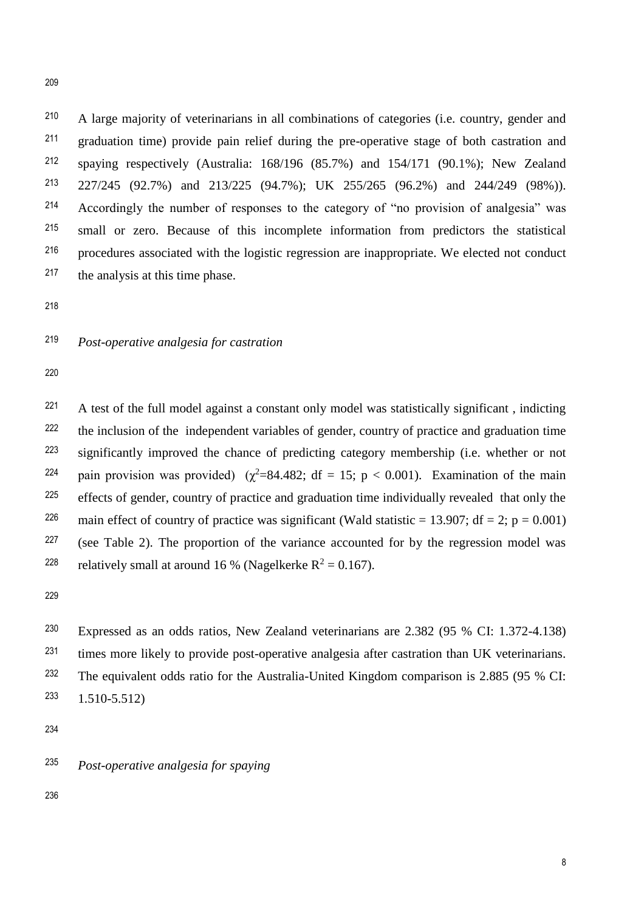A large majority of veterinarians in all combinations of categories (i.e. country, gender and <sup>210</sup> 211 graduation time) provide pain relief during the pre-operative stage of both castration and <sup>212</sup> spaying respectively (Australia:  $168/196$  (85.7%) and 154/171 (90.1%); New Zealand 227/245 (92.7%) and 213/225 (94.7%); UK 255/265 (96.2%) and 244/249 (98%)). 213 Accordingly the number of responses to the category of "no provision of analgesia" was <sup>214</sup> small or zero. Because of this incomplete information from predictors the statistical <sup>215</sup> procedures associated with the logistic regression are inappropriate. We elected not conduct <sup>216</sup> 217 the analysis at this time phase.

218

*Post-operative analgesia for castration* <sup>219</sup>

220

<sup>221</sup> A test of the full model against a constant only model was statistically significant, indicting <sup>222</sup> the inclusion of the independent variables of gender, country of practice and graduation time 223 significantly improved the chance of predicting category membership (i.e. whether or not <sup>224</sup> pain provision was provided) ( $\chi^2$ =84.482; df = 15; p < 0.001). Examination of the main <sup>225</sup> effects of gender, country of practice and graduation time individually revealed that only the <sup>226</sup> main effect of country of practice was significant (Wald statistic = 13.907; df = 2; p = 0.001) <sup>227</sup> (see Table 2). The proportion of the variance accounted for by the regression model was <sup>228</sup> relatively small at around 16 % (Nagelkerke  $R^2 = 0.167$ ).

229

<sup>230</sup> Expressed as an odds ratios, New Zealand veterinarians are 2.382 (95 % CI: 1.372-4.138)  $231$  times more likely to provide post-operative analgesia after castration than UK veterinarians. <sup>232</sup> The equivalent odds ratio for the Australia-United Kingdom comparison is 2.885 (95 % CI:  $233 \quad 1.510 - 5.512$ 

234

*Post-operative analgesia for spaying* <sup>235</sup>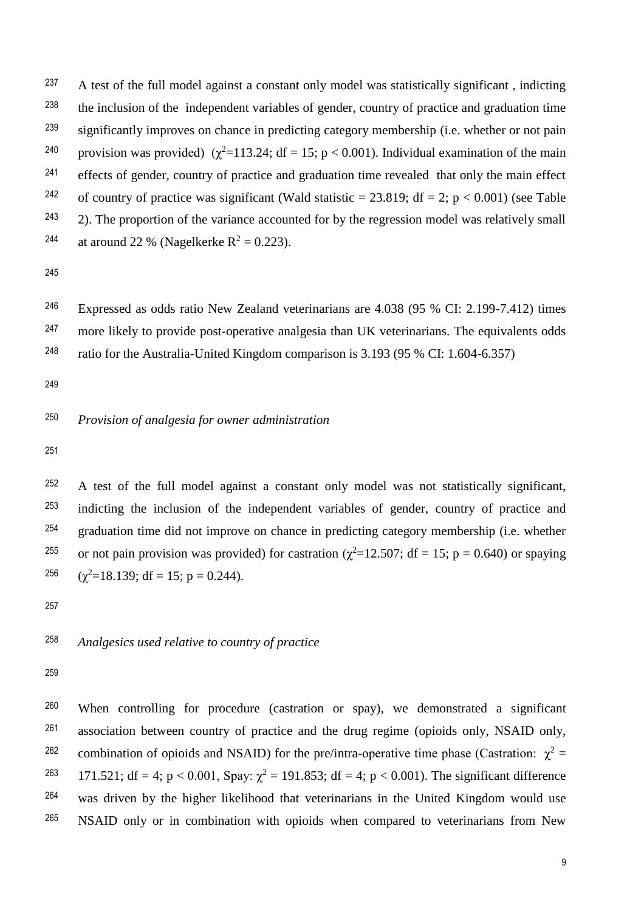<sup>237</sup> A test of the full model against a constant only model was statistically significant, indicting <sup>238</sup> the inclusion of the independent variables of gender, country of practice and graduation time <sup>239</sup> significantly improves on chance in predicting category membership (i.e. whether or not pain <sup>240</sup> provision was provided) ( $χ²=113.24$ ; df = 15; p < 0.001). Individual examination of the main <sup>241</sup> effects of gender, country of practice and graduation time revealed that only the main effect <sup>242</sup> of country of practice was significant (Wald statistic = 23.819; df = 2; p < 0.001) (see Table  $243$  2). The proportion of the variance accounted for by the regression model was relatively small <sup>244</sup> at around 22 % (Nagelkerke  $R^2 = 0.223$ ).

245

<sup>246</sup> Expressed as odds ratio New Zealand veterinarians are  $4.038$  (95 % CI: 2.199-7.412) times <sup>247</sup> more likely to provide post-operative analgesia than UK veterinarians. The equivalents odds

ratio for the Australia-United Kingdom comparison is 3.193 (95 % CI: 1.604-6.357) <sup>248</sup>

249

### *Provision of analgesia for owner administration* <sup>250</sup>

251

<sup>252</sup> A test of the full model against a constant only model was not statistically significant, <sup>253</sup> indicting the inclusion of the independent variables of gender, country of practice and  $254$  graduation time did not improve on chance in predicting category membership (i.e. whether <sup>255</sup> or not pain provision was provided) for castration ( $\chi^2$ =12.507; df = 15; p = 0.640) or spaying 256  $(\chi^2=18.139; df = 15; p = 0.244).$ 

257

#### *Analgesics used relative to country of practice* <sup>258</sup>

259

<sup>260</sup> When controlling for procedure (castration or spay), we demonstrated a significant association between country of practice and the drug regime (opioids only, NSAID only, <sup>261</sup> <sup>262</sup> combination of opioids and NSAID) for the pre/intra-operative time phase (Castration:  $\chi^2$  = <sup>263</sup> 171.521; df = 4; p < 0.001, Spay:  $\chi^2$  = 191.853; df = 4; p < 0.001). The significant difference  $264$  was driven by the higher likelihood that veterinarians in the United Kingdom would use <sup>265</sup> NSAID only or in combination with opioids when compared to veterinarians from New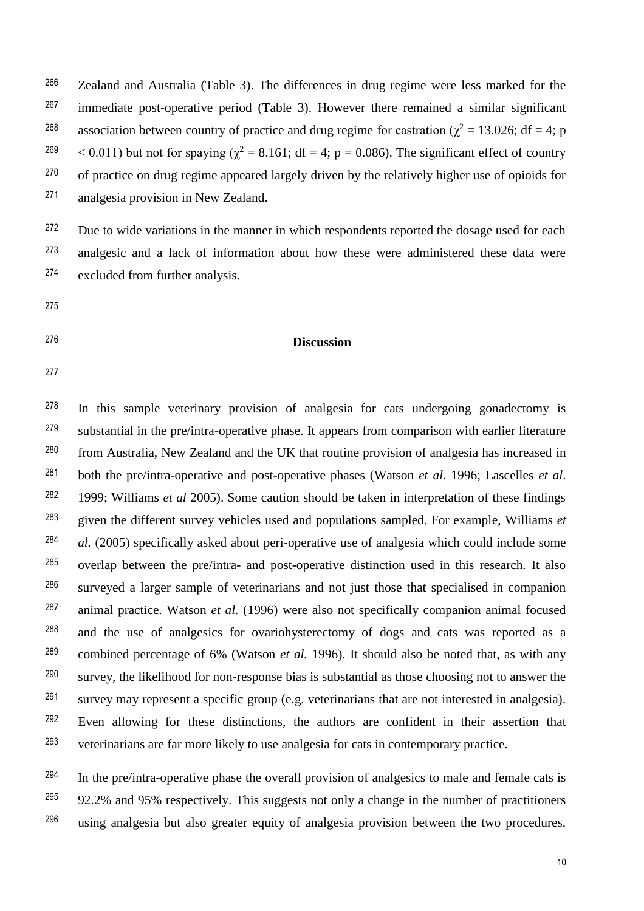<sup>266</sup> Zealand and Australia (Table 3). The differences in drug regime were less marked for the  $267$  immediate post-operative period (Table 3). However there remained a similar significant association between country of practice and drug regime for castration ( $\chi^2 = 13.026$ ; df = 4; p <sup>269</sup>  $\lt$  0.011) but not for spaying ( $\chi^2 = 8.161$ ; df = 4; p = 0.086). The significant effect of country <sup>270</sup> of practice on drug regime appeared largely driven by the relatively higher use of opioids for analgesia provision in New Zealand. <sup>271</sup>

<sup>272</sup> Due to wide variations in the manner in which respondents reported the dosage used for each 273 analgesic and a lack of information about how these were administered these data were excluded from further analysis. <sup>274</sup>

- 275
- 
- 

#### **Discussion** <sup>276</sup>

277

<sup>278</sup> In this sample veterinary provision of analgesia for cats undergoing gonadectomy is substantial in the pre/intra-operative phase. It appears from comparison with earlier literature <sup>280</sup> from Australia, New Zealand and the UK that routine provision of analgesia has increased in both the pre/intra-operative and post-operative phases (Watson *et al.* 1996; Lascelles *et al*. 281 1999; Williams *et al* 2005). Some caution should be taken in interpretation of these findings <sup>282</sup> given the different survey vehicles used and populations sampled. For example, Williams *et* <sup>283</sup> <sup>284</sup> *al.* (2005) specifically asked about peri-operative use of analgesia which could include some <sup>285</sup> overlap between the pre/intra- and post-operative distinction used in this research. It also surveyed a larger sample of veterinarians and not just those that specialised in companion <sup>286</sup> animal practice. Watson *et al.* (1996) were also not specifically companion animal focused <sup>287</sup> <sup>288</sup> and the use of analgesics for ovariohysterectomy of dogs and cats was reported as a combined percentage of 6% (Watson *et al.* 1996). It should also be noted that, as with any <sup>289</sup>  $s$ urvey, the likelihood for non-response bias is substantial as those choosing not to answer the  $291$  survey may represent a specific group (e.g. veterinarians that are not interested in analgesia). <sup>292</sup> Even allowing for these distinctions, the authors are confident in their assertion that veterinarians are far more likely to use analgesia for cats in contemporary practice. <sup>293</sup>

 $294$  In the pre/intra-operative phase the overall provision of analgesics to male and female cats is  $92.2\%$  and 95% respectively. This suggests not only a change in the number of practitioners  $296$  using analgesia but also greater equity of analgesia provision between the two procedures.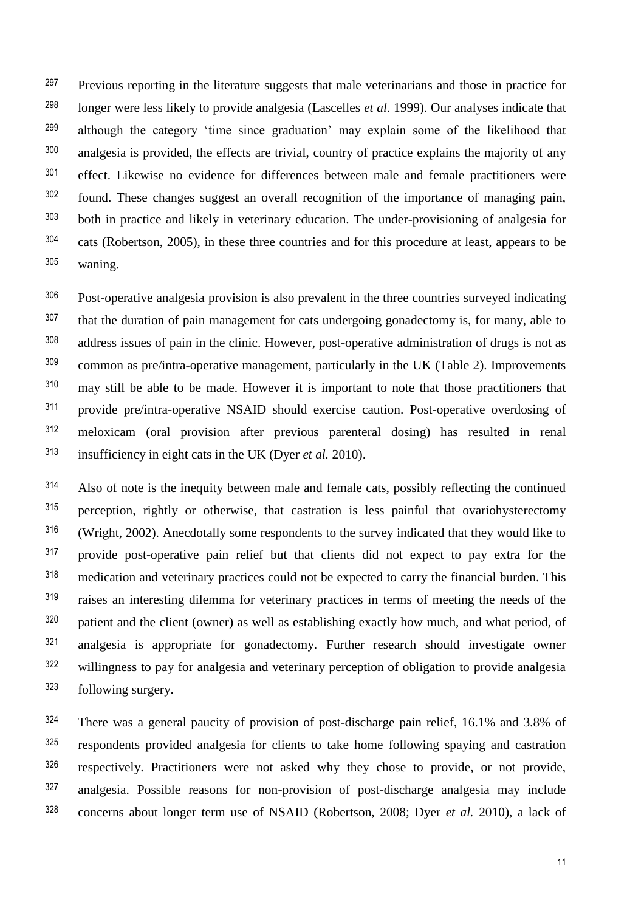<sup>297</sup> Previous reporting in the literature suggests that male veterinarians and those in practice for longer were less likely to provide analgesia (Lascelles *et al*. 1999). Our analyses indicate that although the category 'time since graduation' may explain some of the likelihood that analgesia is provided, the effects are trivial, country of practice explains the majority of any <sup>301</sup> effect. Likewise no evidence for differences between male and female practitioners were found. These changes suggest an overall recognition of the importance of managing pain, both in practice and likely in veterinary education. The under-provisioning of analgesia for <sup>304</sup> cats (Robertson, 2005), in these three countries and for this procedure at least, appears to be waning.

Post-operative analgesia provision is also prevalent in the three countries surveyed indicating <sup>307</sup> that the duration of pain management for cats undergoing gonadectomy is, for many, able to address issues of pain in the clinic. However, post-operative administration of drugs is not as <sup>309</sup> common as pre/intra-operative management, particularly in the UK (Table 2). Improvements may still be able to be made. However it is important to note that those practitioners that provide pre/intra-operative NSAID should exercise caution. Post-operative overdosing of meloxicam (oral provision after previous parenteral dosing) has resulted in renal insufficiency in eight cats in the UK (Dyer *et al.* 2010).

Also of note is the inequity between male and female cats, possibly reflecting the continued 315 perception, rightly or otherwise, that castration is less painful that ovariohysterectomy (Wright, 2002). Anecdotally some respondents to the survey indicated that they would like to <sup>317</sup> provide post-operative pain relief but that clients did not expect to pay extra for the <sup>318</sup> medication and veterinary practices could not be expected to carry the financial burden. This <sup>319</sup> raises an interesting dilemma for veterinary practices in terms of meeting the needs of the patient and the client (owner) as well as establishing exactly how much, and what period, of 321 analgesia is appropriate for gonadectomy. Further research should investigate owner <sup>322</sup> willingness to pay for analgesia and veterinary perception of obligation to provide analgesia following surgery.

 There was a general paucity of provision of post-discharge pain relief, 16.1% and 3.8% of <sup>325</sup> respondents provided analgesia for clients to take home following spaying and castration respectively. Practitioners were not asked why they chose to provide, or not provide, analgesia. Possible reasons for non-provision of post-discharge analgesia may include <sup>328</sup> concerns about longer term use of NSAID (Robertson, 2008; Dyer *et al.* 2010), a lack of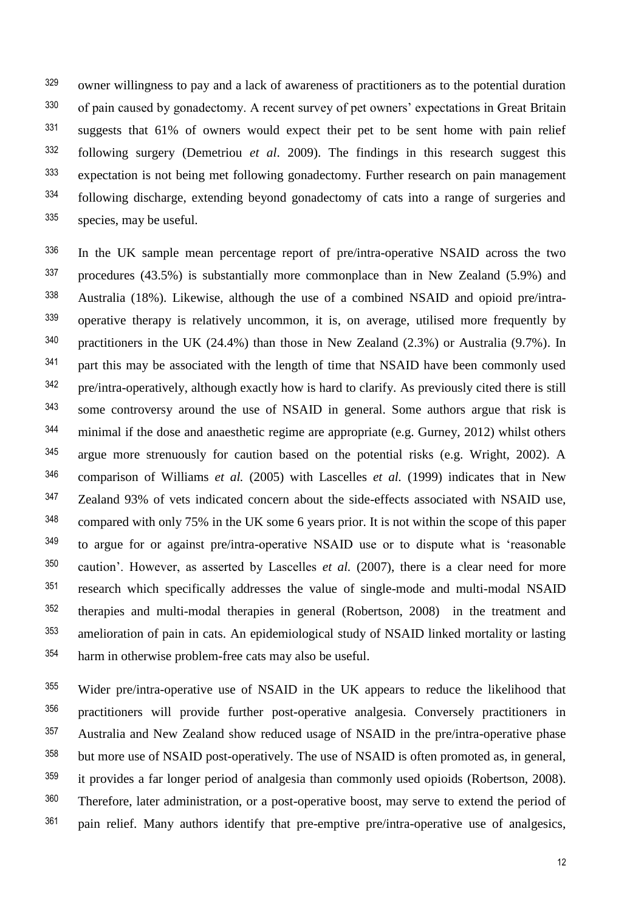<sup>329</sup> owner willingness to pay and a lack of awareness of practitioners as to the potential duration <sup>330</sup> of pain caused by gonadectomy. A recent survey of pet owners' expectations in Great Britain <sup>331</sup> suggests that 61% of owners would expect their pet to be sent home with pain relief following surgery (Demetriou *et al*. 2009). The findings in this research suggest this <sup>332</sup> <sup>333</sup> expectation is not being met following gonadectomy. Further research on pain management following discharge, extending beyond gonadectomy of cats into a range of surgeries and <sup>334</sup> species, may be useful. <sup>335</sup>

<sup>336</sup> In the UK sample mean percentage report of pre/intra-operative NSAID across the two  $337$  procedures (43.5%) is substantially more commonplace than in New Zealand (5.9%) and Australia (18%). Likewise, although the use of a combined NSAID and opioid pre/intra-338 339 operative therapy is relatively uncommon, it is, on average, utilised more frequently by <sup>340</sup> practitioners in the UK (24.4%) than those in New Zealand (2.3%) or Australia (9.7%). In <sup>341</sup> part this may be associated with the length of time that NSAID have been commonly used pre/intra-operatively, although exactly how is hard to clarify. As previously cited there is still <sup>342</sup> some controversy around the use of NSAID in general. Some authors argue that risk is <sup>343</sup> <sup>344</sup> minimal if the dose and anaesthetic regime are appropriate (e.g. Gurney, 2012) whilst others argue more strenuously for caution based on the potential risks (e.g. Wright, 2002). A <sup>345</sup> comparison of Williams *et al.* (2005) with Lascelles *et al.* (1999) indicates that in New <sup>346</sup> <sup>347</sup> Zealand 93% of vets indicated concern about the side-effects associated with NSAID use, <sup>348</sup> compared with only 75% in the UK some 6 years prior. It is not within the scope of this paper <sup>349</sup> to argue for or against pre/intra-operative NSAID use or to dispute what is 'reasonable <sup>350</sup> caution'. However, as asserted by Lascelles *et al.* (2007), there is a clear need for more <sup>351</sup> research which specifically addresses the value of single-mode and multi-modal NSAID <sup>352</sup> therapies and multi-modal therapies in general (Robertson, 2008) in the treatment and <sup>353</sup> amelioration of pain in cats. An epidemiological study of NSAID linked mortality or lasting harm in otherwise problem-free cats may also be useful. <sup>354</sup>

355 Wider pre/intra-operative use of NSAID in the UK appears to reduce the likelihood that 356 practitioners will provide further post-operative analgesia. Conversely practitioners in <sup>357</sup> Australia and New Zealand show reduced usage of NSAID in the pre/intra-operative phase <sup>358</sup> but more use of NSAID post-operatively. The use of NSAID is often promoted as, in general, <sup>359</sup> it provides a far longer period of analgesia than commonly used opioids (Robertson, 2008). <sup>360</sup> Therefore, later administration, or a post-operative boost, may serve to extend the period of  $361$  pain relief. Many authors identify that pre-emptive pre/intra-operative use of analgesics,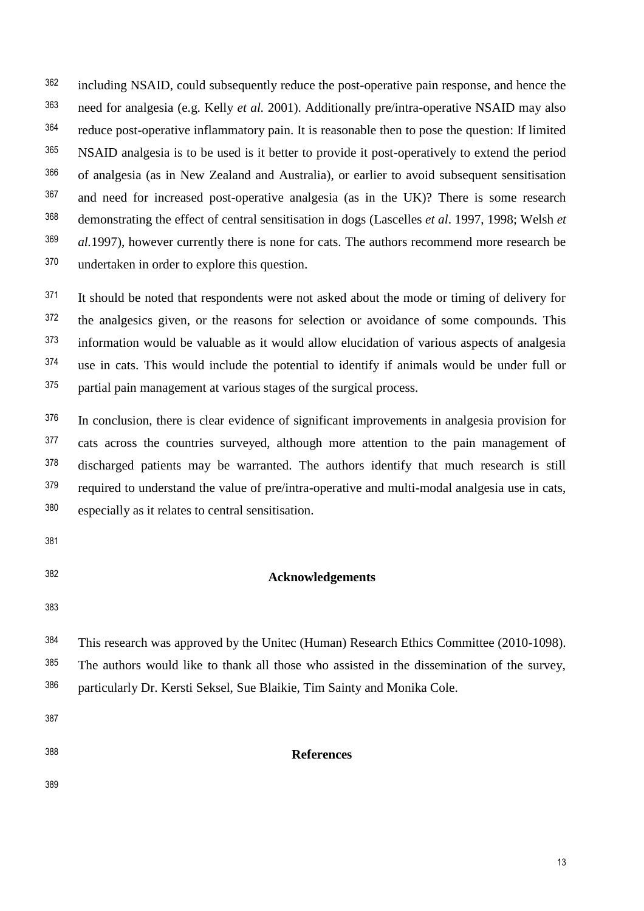<sup>362</sup> including NSAID, could subsequently reduce the post-operative pain response, and hence the need for analgesia (e.g. Kelly *et al.* 2001). Additionally pre/intra-operative NSAID may also <sup>363</sup> <sup>364</sup> reduce post-operative inflammatory pain. It is reasonable then to pose the question: If limited <sup>365</sup> NSAID analgesia is to be used is it better to provide it post-operatively to extend the period of analgesia (as in New Zealand and Australia), or earlier to avoid subsequent sensitisation <sup>366</sup> <sup>367</sup> and need for increased post-operative analgesia (as in the UK)? There is some research demonstrating the effect of central sensitisation in dogs (Lascelles *et al*. 1997, 1998; Welsh *et* <sup>368</sup> <sup>369</sup> *al.* 1997), however currently there is none for cats. The authors recommend more research be 370 undertaken in order to explore this question.

<sup>371</sup> It should be noted that respondents were not asked about the mode or timing of delivery for <sup>372</sup> the analgesics given, or the reasons for selection or avoidance of some compounds. This  $373$  information would be valuable as it would allow elucidation of various aspects of analgesia <sup>374</sup> use in cats. This would include the potential to identify if animals would be under full or partial pain management at various stages of the surgical process. <sup>375</sup>

<sup>376</sup> In conclusion, there is clear evidence of significant improvements in analgesia provision for 377 cats across the countries surveyed, although more attention to the pain management of 378 discharged patients may be warranted. The authors identify that much research is still <sup>379</sup> required to understand the value of pre/intra-operative and multi-modal analgesia use in cats, especially as it relates to central sensitisation. <sup>380</sup>

- 381
- 

## **Acknowledgements** <sup>382</sup>

383

<sup>384</sup> This research was approved by the Unitec (Human) Research Ethics Committee (2010-1098). <sup>385</sup> The authors would like to thank all those who assisted in the dissemination of the survey, particularly Dr. Kersti Seksel, Sue Blaikie, Tim Sainty and Monika Cole. <sup>386</sup>

387

**References** <sup>388</sup>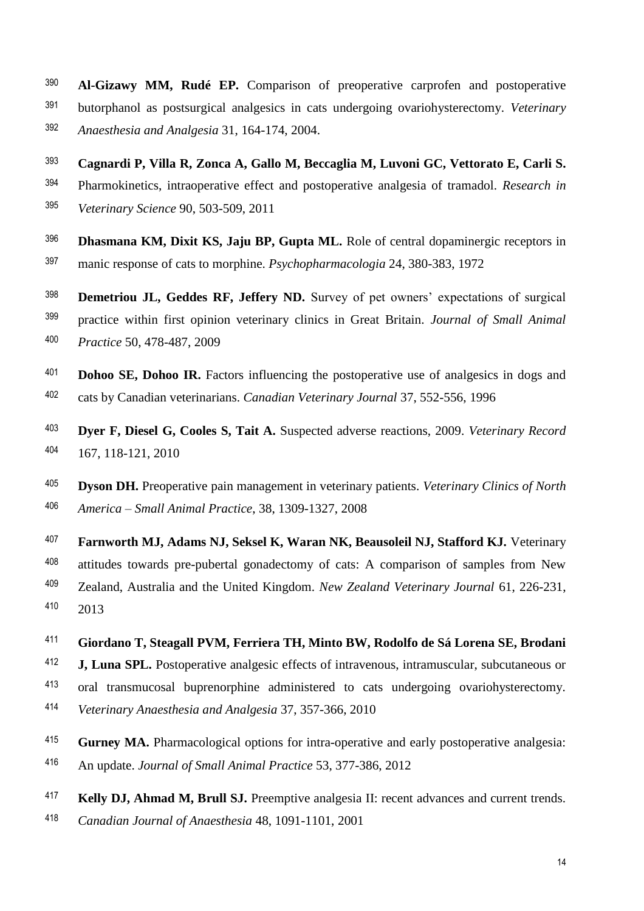- **Al-Gizawy MM, Rudé EP.** Comparison of preoperative carprofen and postoperative <sup>390</sup> butorphanol as postsurgical analgesics in cats undergoing ovariohysterectomy. *Veterinary* <sup>391</sup> *Anaesthesia and Analgesia* 31, 164-174, 2004. <sup>392</sup>
- **Cagnardi P, Villa R, Zonca A, Gallo M, Beccaglia M, Luvoni GC, Vettorato E, Carli S.** <sup>393</sup> Pharmokinetics, intraoperative effect and postoperative analgesia of tramadol. *Research in* <sup>394</sup>

*Veterinary Science* 90, 503-509, 2011 <sup>395</sup>

- <sup>396</sup> **Dhasmana KM, Dixit KS, Jaju BP, Gupta ML.** Role of central dopaminergic receptors in manic response of cats to morphine. *Psychopharmacologia* 24, 380-383, 1972 <sup>397</sup>
- <sup>398</sup> **Demetriou JL, Geddes RF, Jeffery ND.** Survey of pet owners' expectations of surgical practice within first opinion veterinary clinics in Great Britain. *Journal of Small Animal* <sup>399</sup> 400 Practice 50, 478-487, 2009
- <sup>401</sup> **Dohoo SE, Dohoo IR.** Factors influencing the postoperative use of analgesics in dogs and <sup>402</sup> cats by Canadian veterinarians. *Canadian Veterinary Journal* 37, 552-556, 1996
- <sup>403</sup> **Dyer F, Diesel G, Cooles S, Tait A.** Suspected adverse reactions, 2009. *Veterinary Record* 404 167, 118-121, 2010
- **Dyson DH.** Preoperative pain management in veterinary patients. *Veterinary Clinics of North* <sup>405</sup> *America – Small Animal Practice*, 38, 1309-1327, 2008 <sup>406</sup>
- <sup>407</sup> Farnworth MJ, Adams NJ, Seksel K, Waran NK, Beausoleil NJ, Stafford KJ. Veterinary <sup>408</sup> attitudes towards pre-pubertal gonadectomy of cats: A comparison of samples from New Zealand, Australia and the United Kingdom. *New Zealand Veterinary Journal* 61, 226-231, <sup>409</sup> 2013 410
- **Giordano T, Steagall PVM, Ferriera TH, Minto BW, Rodolfo de Sá Lorena SE, Brodani** <sup>411</sup> <sup>412</sup> **J, Luna SPL.** Postoperative analgesic effects of intravenous, intramuscular, subcutaneous or <sup>413</sup> oral transmucosal buprenorphine administered to cats undergoing ovariohysterectomy.
- *Veterinary Anaesthesia and Analgesia* 37, 357-366, 2010 <sup>414</sup>
- <sup>415</sup> **Gurney MA.** Pharmacological options for intra-operative and early postoperative analgesia: An update. *Journal of Small Animal Practice* 53, 377-386, 2012 <sup>416</sup>
- <sup>417</sup> Kelly DJ, Ahmad M, Brull SJ. Preemptive analgesia II: recent advances and current trends. *Canadian Journal of Anaesthesia* 48, 1091-1101, 2001 <sup>418</sup>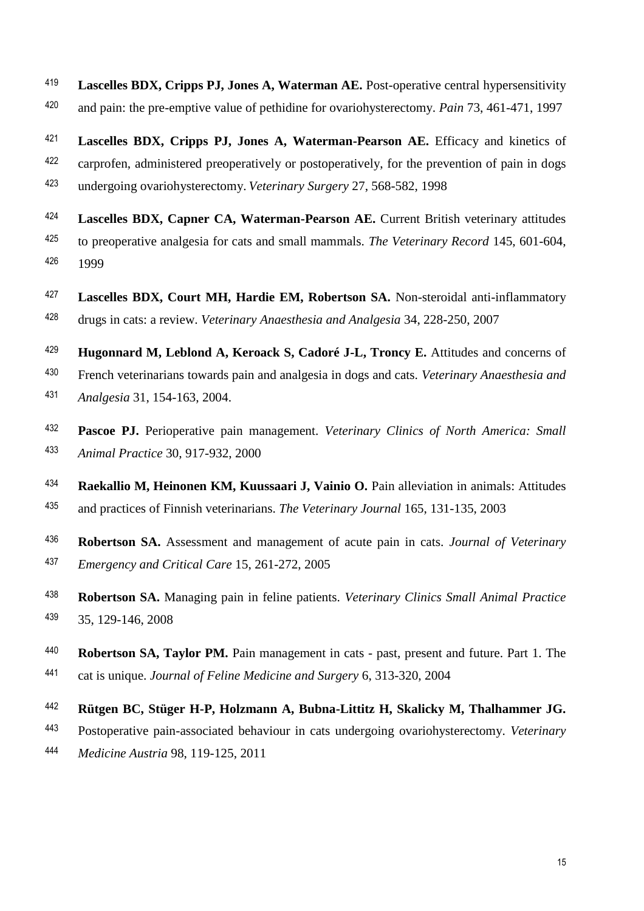- <sup>419</sup> Lascelles BDX, Cripps PJ, Jones A, Waterman AE. Post-operative central hypersensitivity <sup>420</sup> and pain: the pre-emptive value of pethidine for ovariohysterectomy. *Pain* 73, 461-471, 1997
- **Lascelles BDX, Cripps PJ, Jones A, Waterman-Pearson AE.** Efficacy and kinetics of <sup>422</sup> carprofen, administered preoperatively or postoperatively, for the prevention of pain in dogs undergoing ovariohysterectomy. *Veterinary Surgery* 27, 568-582, 1998
- <sup>424</sup> Lascelles BDX, Capner CA, Waterman-Pearson AE. Current British veterinary attitudes to preoperative analgesia for cats and small mammals. *The Veterinary Record* 145, 601-604, 1999
- <sup>427</sup> Lascelles BDX, Court MH, Hardie EM, Robertson SA. Non-steroidal anti-inflammatory drugs in cats: a review. *Veterinary Anaesthesia and Analgesia* 34, 228-250, 2007
- <sup>429</sup> **Hugonnard M, Leblond A, Keroack S, Cadoré J-L, Troncy E.** Attitudes and concerns of French veterinarians towards pain and analgesia in dogs and cats. *Veterinary Anaesthesia and Analgesia* 31, 154-163, 2004.
- **Pascoe PJ.** Perioperative pain management. *Veterinary Clinics of North America: Small Animal Practice* 30, 917-932, 2000
- <sup>434</sup> Raekallio M, Heinonen KM, Kuussaari J, Vainio O. Pain alleviation in animals: Attitudes and practices of Finnish veterinarians. *The Veterinary Journal* 165, 131-135, 2003
- **Robertson SA.** Assessment and management of acute pain in cats. *Journal of Veterinary Emergency and Critical Care* 15, 261-272, 2005
- **Robertson SA.** Managing pain in feline patients. *Veterinary Clinics Small Animal Practice* 439 35, 129-146, 2008
- <sup>440</sup> **Robertson SA, Taylor PM.** Pain management in cats past, present and future. Part 1. The cat is unique. *Journal of Feline Medicine and Surgery* 6, 313-320, 2004
- **Rütgen BC, Stüger H-P, Holzmann A, Bubna-Littitz H, Skalicky M, Thalhammer JG.**
- Postoperative pain-associated behaviour in cats undergoing ovariohysterectomy. *Veterinary*
- *Medicine Austria* 98, 119-125, 2011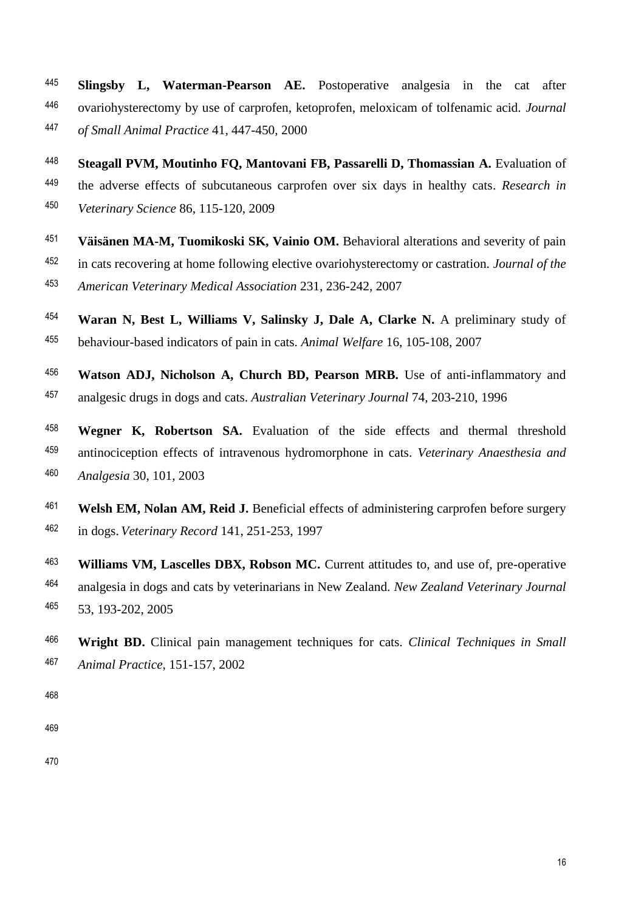- **Slingsby L, Waterman-Pearson AE.** Postoperative analgesia in the cat after ovariohysterectomy by use of carprofen, ketoprofen, meloxicam of tolfenamic acid. *Journal of Small Animal Practice* 41, 447-450, 2000
- **Steagall PVM, Moutinho FQ, Mantovani FB, Passarelli D, Thomassian A.** Evaluation of the adverse effects of subcutaneous carprofen over six days in healthy cats. *Research in*  <sup>450</sup> Veterinary Science 86, 115-120, 2009
- <sup>451</sup> Väisänen MA-M, Tuomikoski SK, Vainio OM. Behavioral alterations and severity of pain
- in cats recovering at home following elective ovariohysterectomy or castration. *Journal of the*

*American Veterinary Medical Association* 231, 236-242, 2007

- <sup>454</sup> Waran N, Best L, Williams V, Salinsky J, Dale A, Clarke N. A preliminary study of behaviour-based indicators of pain in cats. *Animal Welfare* 16, 105-108, 2007
- <sup>456</sup> Watson ADJ, Nicholson A, Church BD, Pearson MRB. Use of anti-inflammatory and analgesic drugs in dogs and cats. *Australian Veterinary Journal* 74, 203-210, 1996
- <sup>458</sup> Wegner K, Robertson SA. Evaluation of the side effects and thermal threshold antinociception effects of intravenous hydromorphone in cats. *Veterinary Anaesthesia and Analgesia* 30, 101, 2003
- **Welsh EM, Nolan AM, Reid J.** Beneficial effects of administering carprofen before surgery <sup>462</sup> in dogs. *Veterinary Record* 141, 251-253, 1997
- <sup>463</sup> Williams VM, Lascelles DBX, Robson MC. Current attitudes to, and use of, pre-operative analgesia in dogs and cats by veterinarians in New Zealand. *New Zealand Veterinary Journal* 465 53, 193-202, 2005
- **Wright BD.** Clinical pain management techniques for cats. *Clinical Techniques in Small Animal Practice*, 151-157, 2002
- 
- 
-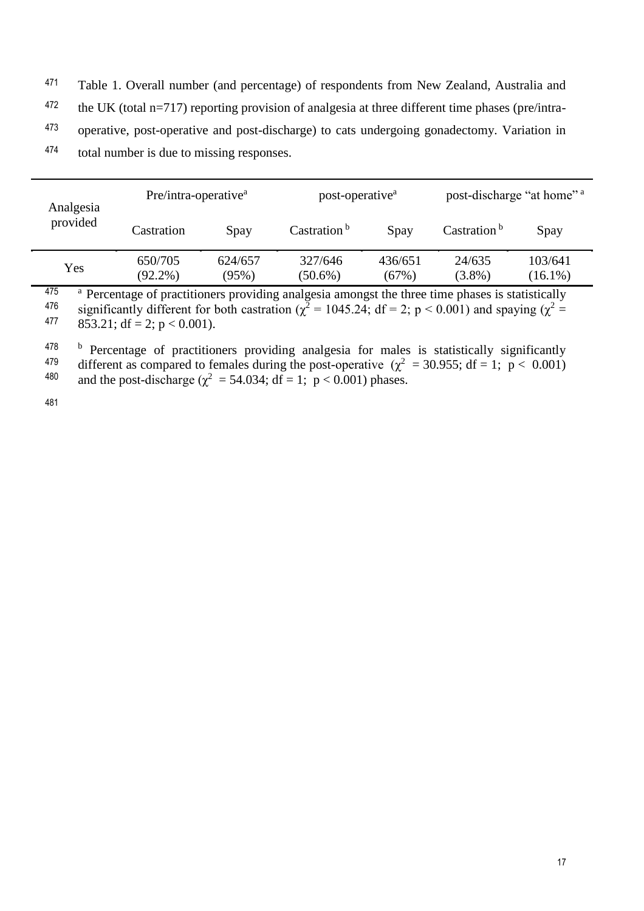- <sup>471</sup> Table 1. Overall number (and percentage) of respondents from New Zealand, Australia and
- the UK (total n=717) reporting provision of analgesia at three different time phases (pre/intra-472
- <sup>473</sup> operative, post-operative and post-discharge) to cats undergoing gonadectomy. Variation in
- total number is due to missing responses. <sup>474</sup>

| Analgesia | Pre/intra-operative <sup>a</sup> |                  | post-operative <sup>a</sup> |                  | post-discharge "at home" <sup>a</sup> |                       |
|-----------|----------------------------------|------------------|-----------------------------|------------------|---------------------------------------|-----------------------|
| provided  | Castration                       | Spay             | Castration <sup>b</sup>     | Spay             | Castration $b$                        | Spay                  |
| Yes       | 650/705<br>$(92.2\%)$            | 624/657<br>(95%) | 327/646<br>$(50.6\%)$       | 436/651<br>(67%) | 24/635<br>$(3.8\%)$                   | 103/641<br>$(16.1\%)$ |
| $1 - r$   |                                  |                  |                             |                  |                                       |                       |

<sup>475</sup> <sup>a</sup> Percentage of practitioners providing analgesia amongst the three time phases is statistically <br><sup>476</sup> significantly different for both castration ( $x^2 = 1045.24$ ; df = 2; n < 0.001) and spaying ( $x^2 =$ <sup>476</sup> significantly different for both castration ( $\chi^2$  = 1045.24; df = 2; p < 0.001) and spaying ( $\chi^2$  = 477 853.21; df – 2; p < 0.001) 853.21; df = 2;  $p < 0.001$ ).

<sup>478</sup> b Percentage of practitioners providing analgesia for males is statistically significantly<br><sup>479</sup> different as compared to females during the post-operative  $(x^2 - 30.955; df - 1; p < 0.001)$ <sup>479</sup> different as compared to females during the post-operative  $(\chi^2 = 30.955; df = 1; p < 0.001)$ <sup>480</sup> and the post-discharge ( $\chi^2$  = 54.034; df = 1; p < 0.001) phases.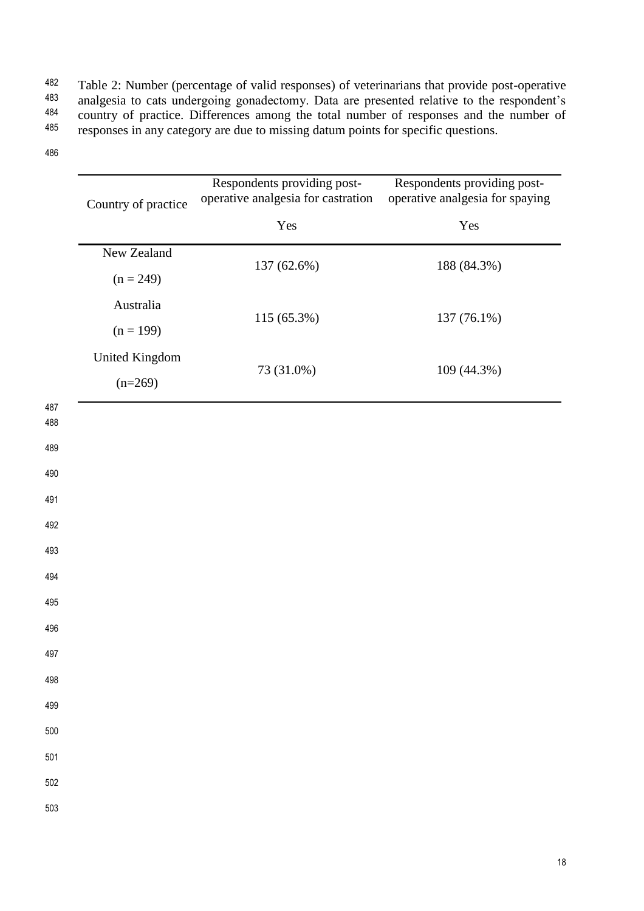Table 2: Number (percentage of valid responses) of veterinarians that provide post-operative<br>483 analoguesia to cats undergoing gonadectomy. Data are presented relative to the respondent's analgesia to cats undergoing gonadectomy. Data are presented relative to the respondent's<br><sup>484</sup> country of practice. Differences among the total number of responses and the number of <sup>484</sup> country of practice. Differences among the total number of responses and the number of  $\frac{485}{485}$  responses in any category are due to missing datum points for specific questions responses in any category are due to missing datum points for specific questions.

|            | Country of practice                | Respondents providing post-<br>operative analgesia for castration | Respondents providing post-<br>operative analgesia for spaying |  |  |
|------------|------------------------------------|-------------------------------------------------------------------|----------------------------------------------------------------|--|--|
|            |                                    | Yes                                                               | Yes                                                            |  |  |
|            | New Zealand<br>$(n = 249)$         | 137 (62.6%)                                                       | 188 (84.3%)                                                    |  |  |
|            | Australia<br>$(n = 199)$           | 115 (65.3%)                                                       | 137 (76.1%)                                                    |  |  |
|            | <b>United Kingdom</b><br>$(n=269)$ | 73 (31.0%)                                                        | 109 (44.3%)                                                    |  |  |
| 487<br>488 |                                    |                                                                   |                                                                |  |  |
| 489        |                                    |                                                                   |                                                                |  |  |
| 490        |                                    |                                                                   |                                                                |  |  |
| 491        |                                    |                                                                   |                                                                |  |  |
| 492        |                                    |                                                                   |                                                                |  |  |
| 493        |                                    |                                                                   |                                                                |  |  |
| 494        |                                    |                                                                   |                                                                |  |  |
| 495        |                                    |                                                                   |                                                                |  |  |
| 496        |                                    |                                                                   |                                                                |  |  |
| 497        |                                    |                                                                   |                                                                |  |  |
| 498        |                                    |                                                                   |                                                                |  |  |
| 499        |                                    |                                                                   |                                                                |  |  |
| 500        |                                    |                                                                   |                                                                |  |  |
| 501        |                                    |                                                                   |                                                                |  |  |
| 502        |                                    |                                                                   |                                                                |  |  |
| 503        |                                    |                                                                   |                                                                |  |  |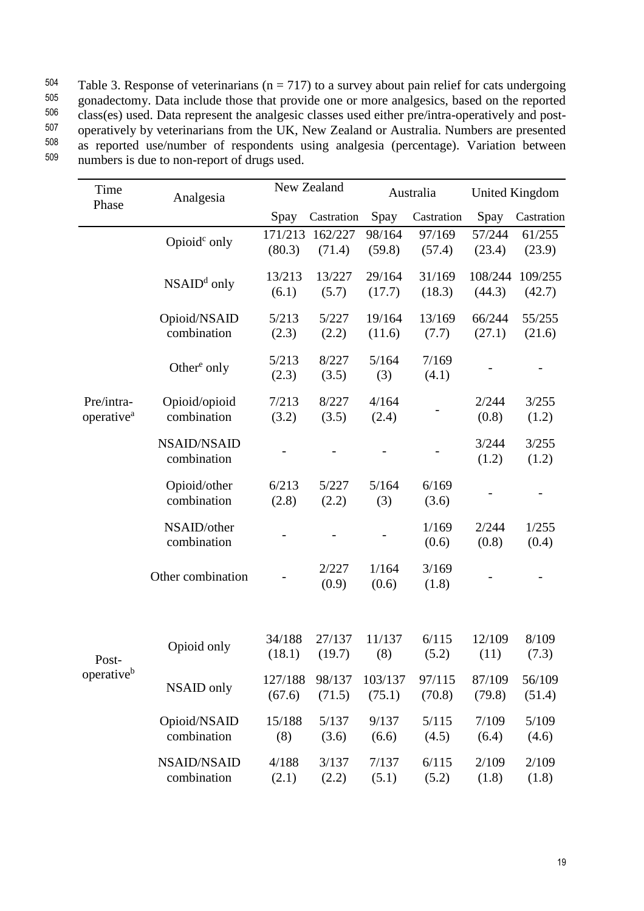| 504 | Table 3. Response of veterinarians ( $n = 717$ ) to a survey about pain relief for cats undergoing |
|-----|----------------------------------------------------------------------------------------------------|
| 505 | gonadectomy. Data include those that provide one or more analgesics, based on the reported         |
| 506 | class(es) used. Data represent the analgesic classes used either pre/intra-operatively and post-   |
| 507 | operatively by veterinarians from the UK, New Zealand or Australia. Numbers are presented          |
| 508 | as reported use/number of respondents using analgesia (percentage). Variation between              |
| 509 | numbers is due to non-report of drugs used.                                                        |

| Time                                 | Analgesia                         | New Zealand       |                   | Australia         |                  | <b>United Kingdom</b> |                   |
|--------------------------------------|-----------------------------------|-------------------|-------------------|-------------------|------------------|-----------------------|-------------------|
| Phase                                |                                   | Spay              | Castration        | Spay              | Castration       | Spay                  | Castration        |
|                                      | Opioid <sup>c</sup> only          | 171/213<br>(80.3) | 162/227<br>(71.4) | 98/164<br>(59.8)  | 97/169<br>(57.4) | 57/244<br>(23.4)      | 61/255<br>(23.9)  |
|                                      | $NSAIDd$ only                     | 13/213<br>(6.1)   | 13/227<br>(5.7)   | 29/164<br>(17.7)  | 31/169<br>(18.3) | 108/244<br>(44.3)     | 109/255<br>(42.7) |
|                                      | Opioid/NSAID<br>combination       | 5/213<br>(2.3)    | 5/227<br>(2.2)    | 19/164<br>(11.6)  | 13/169<br>(7.7)  | 66/244<br>(27.1)      | 55/255<br>(21.6)  |
|                                      | Other <sup>e</sup> only           | 5/213<br>(2.3)    | 8/227<br>(3.5)    | 5/164<br>(3)      | 7/169<br>(4.1)   |                       |                   |
| Pre/intra-<br>operative <sup>a</sup> | Opioid/opioid<br>combination      | 7/213<br>(3.2)    | 8/227<br>(3.5)    | 4/164<br>(2.4)    |                  | 2/244<br>(0.8)        | 3/255<br>(1.2)    |
|                                      | <b>NSAID/NSAID</b><br>combination |                   |                   |                   |                  | 3/244<br>(1.2)        | 3/255<br>(1.2)    |
|                                      | Opioid/other<br>combination       | 6/213<br>(2.8)    | 5/227<br>(2.2)    | 5/164<br>(3)      | 6/169<br>(3.6)   |                       |                   |
|                                      | NSAID/other<br>combination        |                   |                   |                   | 1/169<br>(0.6)   | 2/244<br>(0.8)        | 1/255<br>(0.4)    |
|                                      | Other combination                 |                   | 2/227<br>(0.9)    | 1/164<br>(0.6)    | 3/169<br>(1.8)   |                       |                   |
|                                      |                                   |                   |                   |                   |                  |                       |                   |
| Post-                                | Opioid only                       | 34/188<br>(18.1)  | 27/137<br>(19.7)  | 11/137<br>(8)     | 6/115<br>(5.2)   | 12/109<br>(11)        | 8/109<br>(7.3)    |
| operative <sup>b</sup>               | NSAID only                        | 127/188<br>(67.6) | 98/137<br>(71.5)  | 103/137<br>(75.1) | 97/115<br>(70.8) | 87/109<br>(79.8)      | 56/109<br>(51.4)  |
|                                      | Opioid/NSAID<br>combination       | 15/188<br>(8)     | 5/137<br>(3.6)    | 9/137<br>(6.6)    | 5/115<br>(4.5)   | 7/109<br>(6.4)        | 5/109<br>(4.6)    |
|                                      | <b>NSAID/NSAID</b><br>combination | 4/188<br>(2.1)    | 3/137<br>(2.2)    | 7/137<br>(5.1)    | 6/115<br>(5.2)   | 2/109<br>(1.8)        | 2/109<br>(1.8)    |